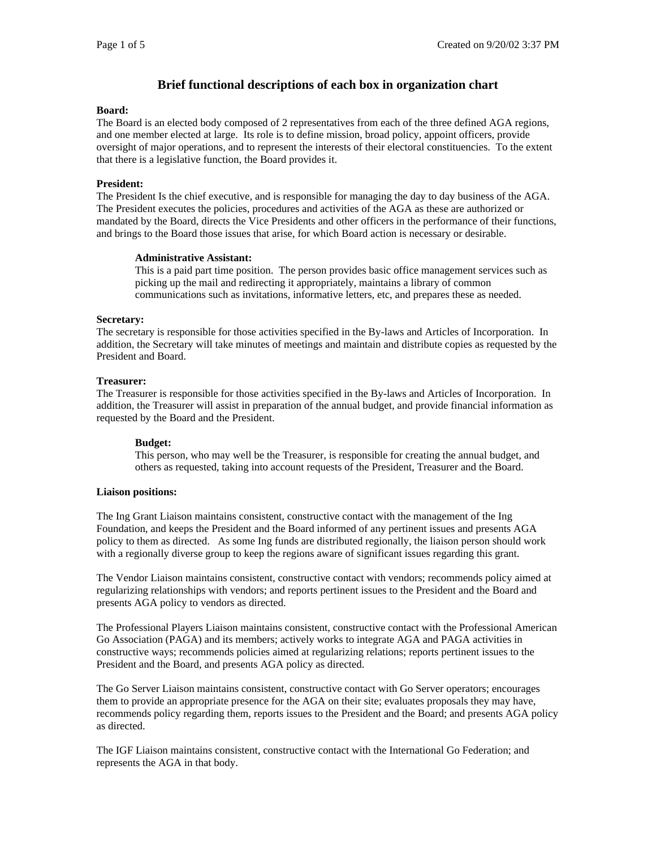## **Brief functional descriptions of each box in organization chart**

#### **Board:**

The Board is an elected body composed of 2 representatives from each of the three defined AGA regions, and one member elected at large. Its role is to define mission, broad policy, appoint officers, provide oversight of major operations, and to represent the interests of their electoral constituencies. To the extent that there is a legislative function, the Board provides it.

#### **President:**

The President Is the chief executive, and is responsible for managing the day to day business of the AGA. The President executes the policies, procedures and activities of the AGA as these are authorized or mandated by the Board, directs the Vice Presidents and other officers in the performance of their functions, and brings to the Board those issues that arise, for which Board action is necessary or desirable.

#### **Administrative Assistant:**

This is a paid part time position. The person provides basic office management services such as picking up the mail and redirecting it appropriately, maintains a library of common communications such as invitations, informative letters, etc, and prepares these as needed.

#### **Secretary:**

The secretary is responsible for those activities specified in the By-laws and Articles of Incorporation. In addition, the Secretary will take minutes of meetings and maintain and distribute copies as requested by the President and Board.

#### **Treasurer:**

The Treasurer is responsible for those activities specified in the By-laws and Articles of Incorporation. In addition, the Treasurer will assist in preparation of the annual budget, and provide financial information as requested by the Board and the President.

#### **Budget:**

This person, who may well be the Treasurer, is responsible for creating the annual budget, and others as requested, taking into account requests of the President, Treasurer and the Board.

#### **Liaison positions:**

The Ing Grant Liaison maintains consistent, constructive contact with the management of the Ing Foundation, and keeps the President and the Board informed of any pertinent issues and presents AGA policy to them as directed. As some Ing funds are distributed regionally, the liaison person should work with a regionally diverse group to keep the regions aware of significant issues regarding this grant.

The Vendor Liaison maintains consistent, constructive contact with vendors; recommends policy aimed at regularizing relationships with vendors; and reports pertinent issues to the President and the Board and presents AGA policy to vendors as directed.

The Professional Players Liaison maintains consistent, constructive contact with the Professional American Go Association (PAGA) and its members; actively works to integrate AGA and PAGA activities in constructive ways; recommends policies aimed at regularizing relations; reports pertinent issues to the President and the Board, and presents AGA policy as directed.

The Go Server Liaison maintains consistent, constructive contact with Go Server operators; encourages them to provide an appropriate presence for the AGA on their site; evaluates proposals they may have, recommends policy regarding them, reports issues to the President and the Board; and presents AGA policy as directed.

The IGF Liaison maintains consistent, constructive contact with the International Go Federation; and represents the AGA in that body.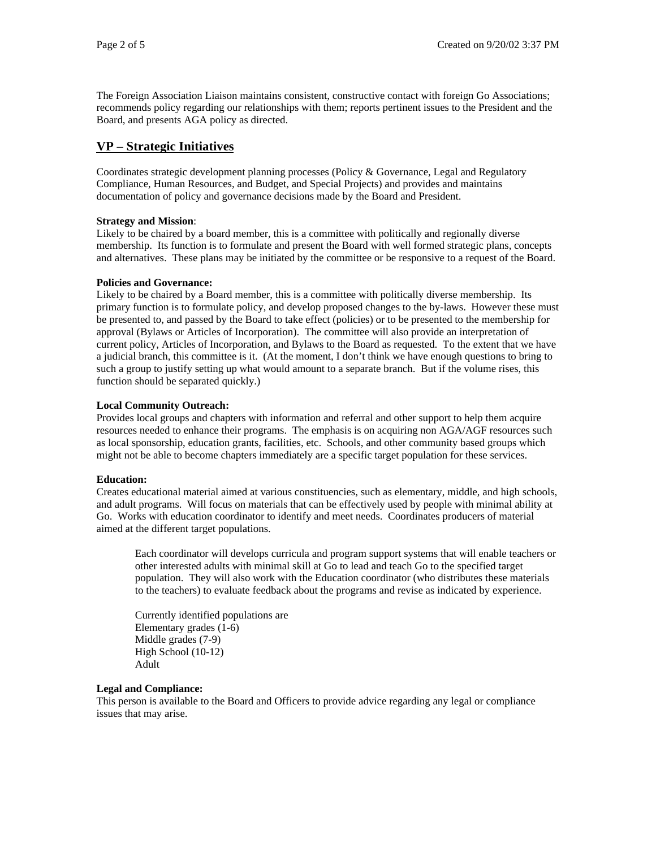The Foreign Association Liaison maintains consistent, constructive contact with foreign Go Associations; recommends policy regarding our relationships with them; reports pertinent issues to the President and the Board, and presents AGA policy as directed.

# **VP – Strategic Initiatives**

Coordinates strategic development planning processes (Policy & Governance, Legal and Regulatory Compliance, Human Resources, and Budget, and Special Projects) and provides and maintains documentation of policy and governance decisions made by the Board and President.

## **Strategy and Mission**:

Likely to be chaired by a board member, this is a committee with politically and regionally diverse membership. Its function is to formulate and present the Board with well formed strategic plans, concepts and alternatives. These plans may be initiated by the committee or be responsive to a request of the Board.

## **Policies and Governance:**

Likely to be chaired by a Board member, this is a committee with politically diverse membership. Its primary function is to formulate policy, and develop proposed changes to the by-laws. However these must be presented to, and passed by the Board to take effect (policies) or to be presented to the membership for approval (Bylaws or Articles of Incorporation). The committee will also provide an interpretation of current policy, Articles of Incorporation, and Bylaws to the Board as requested. To the extent that we have a judicial branch, this committee is it. (At the moment, I don't think we have enough questions to bring to such a group to justify setting up what would amount to a separate branch. But if the volume rises, this function should be separated quickly.)

## **Local Community Outreach:**

Provides local groups and chapters with information and referral and other support to help them acquire resources needed to enhance their programs. The emphasis is on acquiring non AGA/AGF resources such as local sponsorship, education grants, facilities, etc. Schools, and other community based groups which might not be able to become chapters immediately are a specific target population for these services.

## **Education:**

Creates educational material aimed at various constituencies, such as elementary, middle, and high schools, and adult programs. Will focus on materials that can be effectively used by people with minimal ability at Go. Works with education coordinator to identify and meet needs. Coordinates producers of material aimed at the different target populations.

Each coordinator will develops curricula and program support systems that will enable teachers or other interested adults with minimal skill at Go to lead and teach Go to the specified target population. They will also work with the Education coordinator (who distributes these materials to the teachers) to evaluate feedback about the programs and revise as indicated by experience.

Currently identified populations are Elementary grades (1-6) Middle grades (7-9) High School (10-12) Adult

## **Legal and Compliance:**

This person is available to the Board and Officers to provide advice regarding any legal or compliance issues that may arise.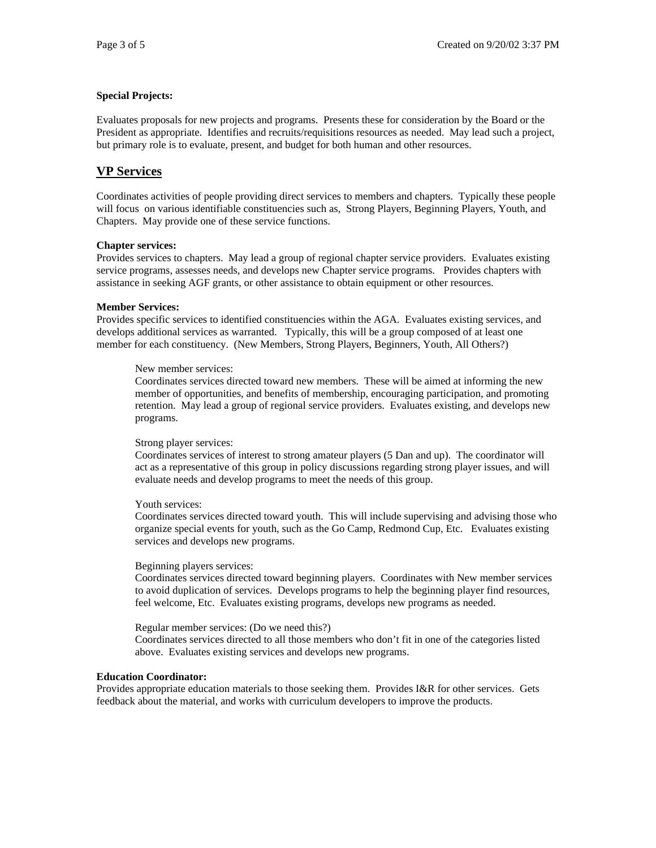## **Special Projects:**

Evaluates proposals for new projects and programs. Presents these for consideration by the Board or the President as appropriate. Identifies and recruits/requisitions resources as needed. May lead such a project, but primary role is to evaluate, present, and budget for both human and other resources.

# **VP Services**

Coordinates activities of people providing direct services to members and chapters. Typically these people will focus on various identifiable constituencies such as, Strong Players, Beginning Players, Youth, and Chapters. May provide one of these service functions.

## **Chapter services:**

Provides services to chapters. May lead a group of regional chapter service providers. Evaluates existing service programs, assesses needs, and develops new Chapter service programs. Provides chapters with assistance in seeking AGF grants, or other assistance to obtain equipment or other resources.

## **Member Services:**

Provides specific services to identified constituencies within the AGA. Evaluates existing services, and develops additional services as warranted. Typically, this will be a group composed of at least one member for each constituency. (New Members, Strong Players, Beginners, Youth, All Others?)

## New member services:

Coordinates services directed toward new members. These will be aimed at informing the new member of opportunities, and benefits of membership, encouraging participation, and promoting retention. May lead a group of regional service providers. Evaluates existing, and develops new programs.

## Strong player services:

Coordinates services of interest to strong amateur players (5 Dan and up). The coordinator will act as a representative of this group in policy discussions regarding strong player issues, and will evaluate needs and develop programs to meet the needs of this group.

## Youth services:

Coordinates services directed toward youth. This will include supervising and advising those who organize special events for youth, such as the Go Camp, Redmond Cup, Etc. Evaluates existing services and develops new programs.

## Beginning players services:

Coordinates services directed toward beginning players. Coordinates with New member services to avoid duplication of services. Develops programs to help the beginning player find resources, feel welcome, Etc. Evaluates existing programs, develops new programs as needed.

Regular member services: (Do we need this?)

Coordinates services directed to all those members who don't fit in one of the categories listed above. Evaluates existing services and develops new programs.

## **Education Coordinator:**

Provides appropriate education materials to those seeking them. Provides I&R for other services. Gets feedback about the material, and works with curriculum developers to improve the products.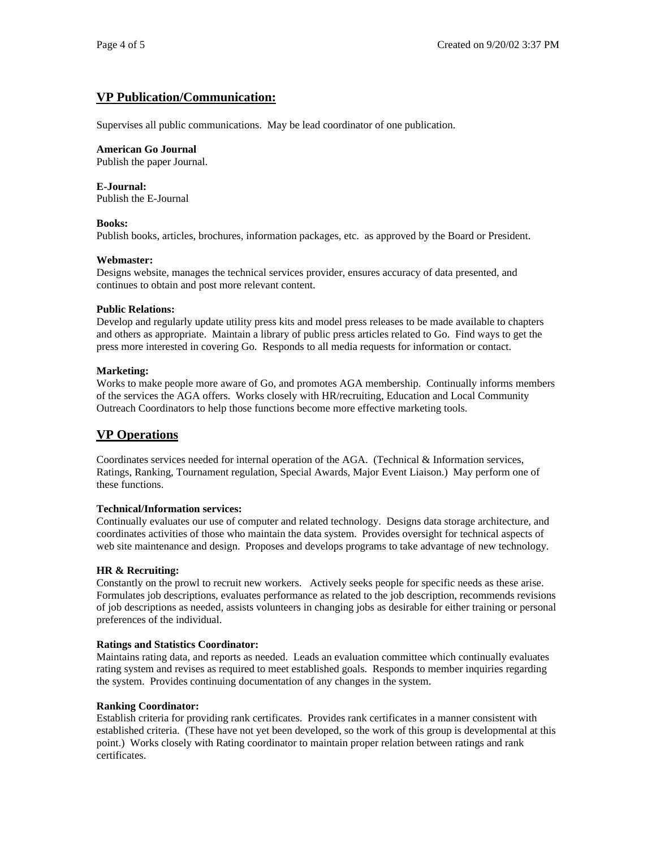# **VP Publication/Communication:**

Supervises all public communications. May be lead coordinator of one publication.

#### **American Go Journal**

Publish the paper Journal.

#### **E-Journal:**

Publish the E-Journal

#### **Books:**

Publish books, articles, brochures, information packages, etc. as approved by the Board or President.

#### **Webmaster:**

Designs website, manages the technical services provider, ensures accuracy of data presented, and continues to obtain and post more relevant content.

#### **Public Relations:**

Develop and regularly update utility press kits and model press releases to be made available to chapters and others as appropriate. Maintain a library of public press articles related to Go. Find ways to get the press more interested in covering Go. Responds to all media requests for information or contact.

#### **Marketing:**

Works to make people more aware of Go, and promotes AGA membership. Continually informs members of the services the AGA offers. Works closely with HR/recruiting, Education and Local Community Outreach Coordinators to help those functions become more effective marketing tools.

## **VP Operations**

Coordinates services needed for internal operation of the AGA. (Technical & Information services, Ratings, Ranking, Tournament regulation, Special Awards, Major Event Liaison.) May perform one of these functions.

## **Technical/Information services:**

Continually evaluates our use of computer and related technology. Designs data storage architecture, and coordinates activities of those who maintain the data system. Provides oversight for technical aspects of web site maintenance and design. Proposes and develops programs to take advantage of new technology.

## **HR & Recruiting:**

Constantly on the prowl to recruit new workers. Actively seeks people for specific needs as these arise. Formulates job descriptions, evaluates performance as related to the job description, recommends revisions of job descriptions as needed, assists volunteers in changing jobs as desirable for either training or personal preferences of the individual.

## **Ratings and Statistics Coordinator:**

Maintains rating data, and reports as needed. Leads an evaluation committee which continually evaluates rating system and revises as required to meet established goals. Responds to member inquiries regarding the system. Provides continuing documentation of any changes in the system.

## **Ranking Coordinator:**

Establish criteria for providing rank certificates. Provides rank certificates in a manner consistent with established criteria. (These have not yet been developed, so the work of this group is developmental at this point.) Works closely with Rating coordinator to maintain proper relation between ratings and rank certificates.